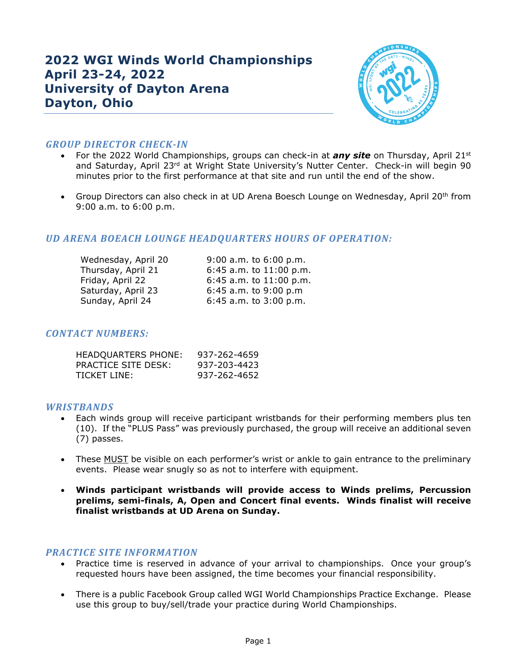# $\overline{\phantom{0}}$ **2022 WGI Winds World Championships April 23-24, 2022 University of Dayton Arena Dayton, Ohio**



# *GROUP DIRECTOR CHECK-IN*

- For the 2022 World Championships, groups can check-in at *any site* on Thursday, April 21st and Saturday, April 23<sup>rd</sup> at Wright State University's Nutter Center. Check-in will begin 90 minutes prior to the first performance at that site and run until the end of the show.
- Group Directors can also check in at UD Arena Boesch Lounge on Wednesday, April 20<sup>th</sup> from 9:00 a.m. to 6:00 p.m.

# *UD ARENA BOEACH LOUNGE HEADQUARTERS HOURS OF OPERATION:*

| Wednesday, April 20 | 9:00 a.m. to 6:00 p.m.      |
|---------------------|-----------------------------|
| Thursday, April 21  | $6:45$ a.m. to $11:00$ p.m. |
| Friday, April 22    | $6:45$ a.m. to $11:00$ p.m. |
| Saturday, April 23  | $6:45$ a.m. to $9:00$ p.m   |
| Sunday, April 24    | $6:45$ a.m. to $3:00$ p.m.  |

## *CONTACT NUMBERS:*

| HEADQUARTERS PHONE: | 937-262-4659 |
|---------------------|--------------|
| PRACTICE SITE DESK: | 937-203-4423 |
| TICKET LINE:        | 937-262-4652 |

## *WRISTBANDS*

- Each winds group will receive participant wristbands for their performing members plus ten (10). If the "PLUS Pass" was previously purchased, the group will receive an additional seven (7) passes.
- These MUST be visible on each performer's wrist or ankle to gain entrance to the preliminary events. Please wear snugly so as not to interfere with equipment.
- **Winds participant wristbands will provide access to Winds prelims, Percussion prelims, semi-finals, A, Open and Concert final events. Winds finalist will receive finalist wristbands at UD Arena on Sunday.**

# **PRACTICE SITE INFORMATION**

- Practice time is reserved in advance of your arrival to championships. Once your group's requested hours have been assigned, the time becomes your financial responsibility.
- There is a public Facebook Group called WGI World Championships Practice Exchange. Please use this group to buy/sell/trade your practice during World Championships.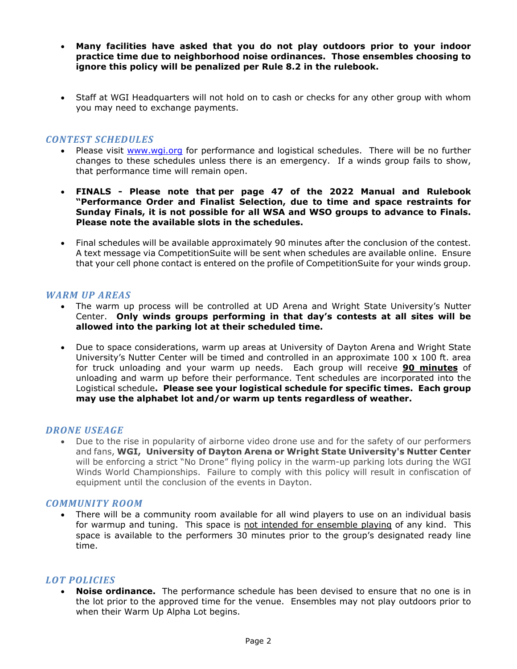- **Many facilities have asked that you do not play outdoors prior to your indoor practice time due to neighborhood noise ordinances. Those ensembles choosing to ignore this policy will be penalized per Rule 8.2 in the rulebook.**
- Staff at WGI Headquarters will not hold on to cash or checks for any other group with whom you may need to exchange payments.

## *CONTEST SCHEDULES*

- Please visit www.wgi.org for performance and logistical schedules. There will be no further changes to these schedules unless there is an emergency. If a winds group fails to show, that performance time will remain open.
- **FINALS - Please note that per page 47 of the 2022 Manual and Rulebook "Performance Order and Finalist Selection, due to time and space restraints for Sunday Finals, it is not possible for all WSA and WSO groups to advance to Finals. Please note the available slots in the schedules.**
- Final schedules will be available approximately 90 minutes after the conclusion of the contest. A text message via CompetitionSuite will be sent when schedules are available online. Ensure that your cell phone contact is entered on the profile of CompetitionSuite for your winds group.

## *WARM UP AREAS*

- The warm up process will be controlled at UD Arena and Wright State University's Nutter Center. **Only winds groups performing in that day's contests at all sites will be allowed into the parking lot at their scheduled time.**
- Due to space considerations, warm up areas at University of Dayton Arena and Wright State University's Nutter Center will be timed and controlled in an approximate  $100 \times 100$  ft. area for truck unloading and your warm up needs. Each group will receive **90 minutes** of unloading and warm up before their performance. Tent schedules are incorporated into the Logistical schedule**. Please see your logistical schedule for specific times. Each group may use the alphabet lot and/or warm up tents regardless of weather.**

## *DRONE USEAGE*

• Due to the rise in popularity of airborne video drone use and for the safety of our performers and fans, **WGI, University of Dayton Arena or Wright State University's Nutter Center** will be enforcing a strict "No Drone" flying policy in the warm-up parking lots during the WGI Winds World Championships. Failure to comply with this policy will result in confiscation of equipment until the conclusion of the events in Dayton.

## *COMMUNITY ROOM*

• There will be a community room available for all wind players to use on an individual basis for warmup and tuning. This space is not intended for ensemble playing of any kind. This space is available to the performers 30 minutes prior to the group's designated ready line time.

## *LOT POLICIES*

• **Noise ordinance.** The performance schedule has been devised to ensure that no one is in the lot prior to the approved time for the venue. Ensembles may not play outdoors prior to when their Warm Up Alpha Lot begins.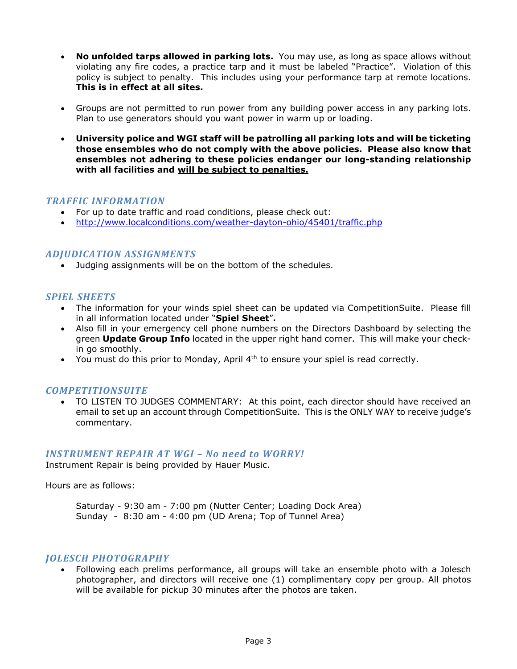- **No unfolded tarps allowed in parking lots.** You may use, as long as space allows without violating any fire codes, a practice tarp and it must be labeled "Practice". Violation of this policy is subject to penalty. This includes using your performance tarp at remote locations. **This is in effect at all sites.**
- Groups are not permitted to run power from any building power access in any parking lots. Plan to use generators should you want power in warm up or loading.
- **University police and WGI staff will be patrolling all parking lots and will be ticketing those ensembles who do not comply with the above policies. Please also know that ensembles not adhering to these policies endanger our long-standing relationship with all facilities and will be subject to penalties.**

## *TRAFFIC INFORMATION*

- For up to date traffic and road conditions, please check out:
- http://www.localconditions.com/weather-dayton-ohio/45401/traffic.php

## *ADJUDICATION ASSIGNMENTS*

• Judging assignments will be on the bottom of the schedules.

## *SPIEL SHEETS*

- The information for your winds spiel sheet can be updated via CompetitionSuite. Please fill in all information located under "**Spiel Sheet**"**.**
- Also fill in your emergency cell phone numbers on the Directors Dashboard by selecting the green **Update Group Info** located in the upper right hand corner.This will make your checkin go smoothly.
- You must do this prior to Monday, April 4<sup>th</sup> to ensure your spiel is read correctly.

## *COMPETITIONSUITE*

• TO LISTEN TO JUDGES COMMENTARY: At this point, each director should have received an email to set up an account through CompetitionSuite. This is the ONLY WAY to receive judge's commentary.

#### *INSTRUMENT REPAIR AT WGI – No need to WORRY!*

Instrument Repair is being provided by Hauer Music.

Hours are as follows:

Saturday - 9:30 am - 7:00 pm (Nutter Center; Loading Dock Area) Sunday - 8:30 am - 4:00 pm (UD Arena; Top of Tunnel Area)

#### *JOLESCH PHOTOGRAPHY*

• Following each prelims performance, all groups will take an ensemble photo with a Jolesch photographer, and directors will receive one (1) complimentary copy per group. All photos will be available for pickup 30 minutes after the photos are taken.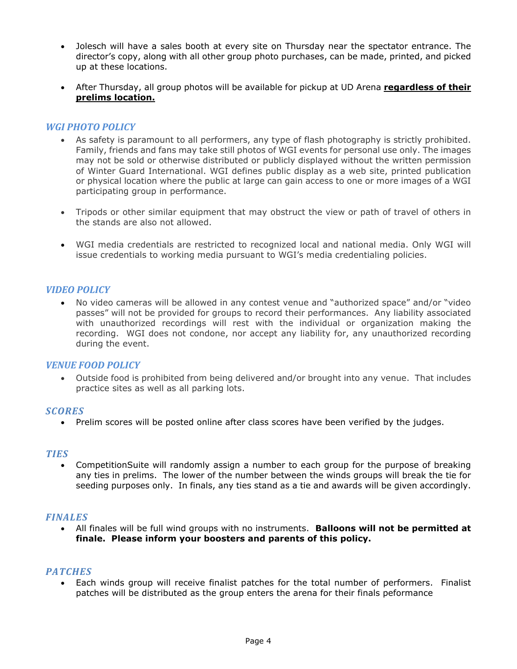- Jolesch will have a sales booth at every site on Thursday near the spectator entrance. The director's copy, along with all other group photo purchases, can be made, printed, and picked up at these locations.
- After Thursday, all group photos will be available for pickup at UD Arena **regardless of their prelims location.**

## *WGI PHOTO POLICY*

- As safety is paramount to all performers, any type of flash photography is strictly prohibited. Family, friends and fans may take still photos of WGI events for personal use only. The images may not be sold or otherwise distributed or publicly displayed without the written permission of Winter Guard International. WGI defines public display as a web site, printed publication or physical location where the public at large can gain access to one or more images of a WGI participating group in performance.
- Tripods or other similar equipment that may obstruct the view or path of travel of others in the stands are also not allowed.
- WGI media credentials are restricted to recognized local and national media. Only WGI will issue credentials to working media pursuant to WGI's media credentialing policies.

## *VIDEO POLICY*

• No video cameras will be allowed in any contest venue and "authorized space" and/or "video passes" will not be provided for groups to record their performances. Any liability associated with unauthorized recordings will rest with the individual or organization making the recording. WGI does not condone, nor accept any liability for, any unauthorized recording during the event.

## **VENUE FOOD POLICY**

• Outside food is prohibited from being delivered and/or brought into any venue. That includes practice sites as well as all parking lots.

## *SCORES*

• Prelim scores will be posted online after class scores have been verified by the judges.

#### *TIES*

• CompetitionSuite will randomly assign a number to each group for the purpose of breaking any ties in prelims. The lower of the number between the winds groups will break the tie for seeding purposes only. In finals, any ties stand as a tie and awards will be given accordingly.

## *FINALES*

• All finales will be full wind groups with no instruments. **Balloons will not be permitted at finale. Please inform your boosters and parents of this policy.**

#### *PATCHES*

• Each winds group will receive finalist patches for the total number of performers. Finalist patches will be distributed as the group enters the arena for their finals peformance